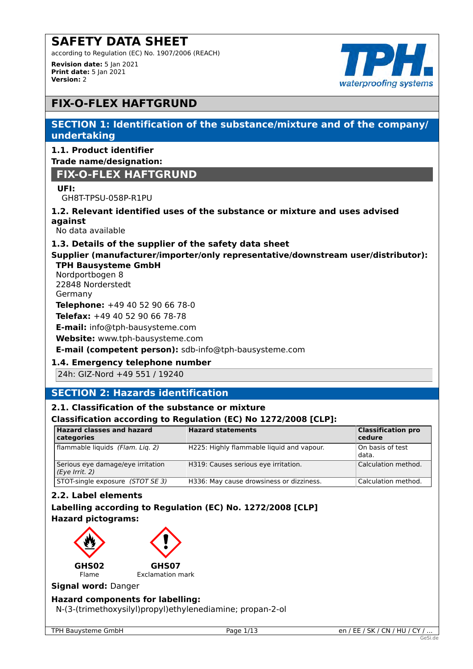according to Regulation (EC) No. 1907/2006 (REACH)

**Revision date:** 5 Jan 2021 **Print date:** 5 Jan 2021 **Version:** 2



# **FIX-O-FLEX HAFTGRUND**

# **SECTION 1: Identification of the substance/mixture and of the company/ undertaking**

### **1.1. Product identifier Trade name/designation:**

# **FIX-O-FLEX HAFTGRUND**

# **UFI:**

GH8T-TPSU-058P-R1PU

# **1.2. Relevant identified uses of the substance or mixture and uses advised against**

No data available

# **1.3. Details of the supplier of the safety data sheet**

# **Supplier (manufacturer/importer/only representative/downstream user/distributor): TPH Bausysteme GmbH**

Nordportbogen 8 22848 Norderstedt Germany **Telephone:** +49 40 52 90 66 78-0 **Telefax:** +49 40 52 90 66 78-78

**E-mail:** info@tph-bausysteme.com

**Website:** www.tph-bausysteme.com

# **E-mail (competent person):** sdb-info@tph-bausysteme.com

# **1.4. Emergency telephone number**

24h: GIZ-Nord +49 551 / 19240

# **SECTION 2: Hazards identification**

# **2.1. Classification of the substance or mixture**

# **Classification according to Regulation (EC) No 1272/2008 [CLP]:**

| <b>Hazard classes and hazard</b><br>categories      | <b>Hazard statements</b>                  | <b>Classification pro</b><br><b>cedure</b> |
|-----------------------------------------------------|-------------------------------------------|--------------------------------------------|
| flammable liquids (Flam. Lig. 2)                    | H225: Highly flammable liguid and vapour. | On basis of test<br>data.                  |
| Serious eye damage/eye irritation<br>(Eye Irrit. 2) | H319: Causes serious eye irritation.      | Calculation method.                        |
| STOT-single exposure (STOT SE 3)                    | H336: May cause drowsiness or dizziness.  | Calculation method.                        |

# **2.2. Label elements**

# **Labelling according to Regulation (EC) No. 1272/2008 [CLP] Hazard pictograms:**



#### **Signal word:** Danger

# **Hazard components for labelling:**

N-(3-(trimethoxysilyl)propyl)ethylenediamine; propan-2-ol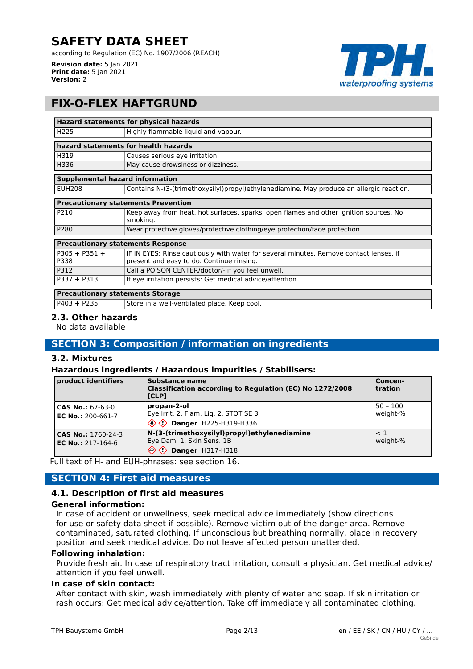**Revision date:** 5 Jan 2021 **Print date:** 5 Jan 2021

**Version:** 2



# **FIX-O-FLEX HAFTGRUND**

#### **Hazard statements for physical hazards**

| <b>H225</b>                          | Highly flammable liquid and vapour. |
|--------------------------------------|-------------------------------------|
| hazard statements for health hazards |                                     |
| H319                                 | Causes serious eye irritation.      |
| H336                                 | May cause drowsiness or dizziness.  |

### **Supplemental hazard information**

| <b>EUH208</b> | Contains N-(3-(trimethoxysilyl)propyl)ethylenediamine. May produce an allergic reaction. |
|---------------|------------------------------------------------------------------------------------------|
|               |                                                                                          |

| <b>Precautionary statements Prevention</b> |   |
|--------------------------------------------|---|
| D210                                       | K |

| P210             | Keep away from heat, hot surfaces, sparks, open flames and other ignition sources. No<br>smokina. |
|------------------|---------------------------------------------------------------------------------------------------|
| P <sub>280</sub> | Wear protective gloves/protective clothing/eye protection/face protection.                        |
|                  |                                                                                                   |

| <b>Precautionary statements Response</b> |                                                                                        |
|------------------------------------------|----------------------------------------------------------------------------------------|
| P305 + P351 +                            | IF IN EYES: Rinse cautiously with water for several minutes. Remove contact lenses, if |
| P338                                     | present and easy to do. Continue rinsing.                                              |
| P312                                     | Call a POISON CENTER/doctor/- if you feel unwell.                                      |
| $P337 + P313$                            | If eye irritation persists: Get medical advice/attention.                              |
|                                          |                                                                                        |

#### **Precautionary statements Storage**

 $P403 + P235$  Store in a well-ventilated place. Keep cool.

#### **2.3. Other hazards**

No data available

# **SECTION 3: Composition / information on ingredients**

# **3.2. Mixtures**

#### **Hazardous ingredients / Hazardous impurities / Stabilisers:**

| product identifiers                            | Substance name<br>Classification according to Regulation (EC) No 1272/2008<br>[CLP]             | Concen-<br>tration     |
|------------------------------------------------|-------------------------------------------------------------------------------------------------|------------------------|
| <b>CAS No.: 67-63-0</b><br>EC No.: 200-661-7   | propan-2-ol<br>Eye Irrit. 2, Flam. Liq. 2, STOT SE 3<br>$\textcircled{2}$ Danger H225-H319-H336 | $50 - 100$<br>weight-% |
| CAS No.: 1760-24-3<br><b>EC No.: 217-164-6</b> | N-(3-(trimethoxysilyl)propyl)ethylenediamine<br>Eye Dam. 1, Skin Sens. 1B<br>Danger H317-H318   | $\leq$ 1<br>weight-%   |

Full text of H- and EUH-phrases: see section 16.

# **SECTION 4: First aid measures**

# **4.1. Description of first aid measures**

#### **General information:**

In case of accident or unwellness, seek medical advice immediately (show directions for use or safety data sheet if possible). Remove victim out of the danger area. Remove contaminated, saturated clothing. If unconscious but breathing normally, place in recovery position and seek medical advice. Do not leave affected person unattended.

#### **Following inhalation:**

Provide fresh air. In case of respiratory tract irritation, consult a physician. Get medical advice/ attention if you feel unwell.

#### **In case of skin contact:**

After contact with skin, wash immediately with plenty of water and soap. If skin irritation or rash occurs: Get medical advice/attention. Take off immediately all contaminated clothing.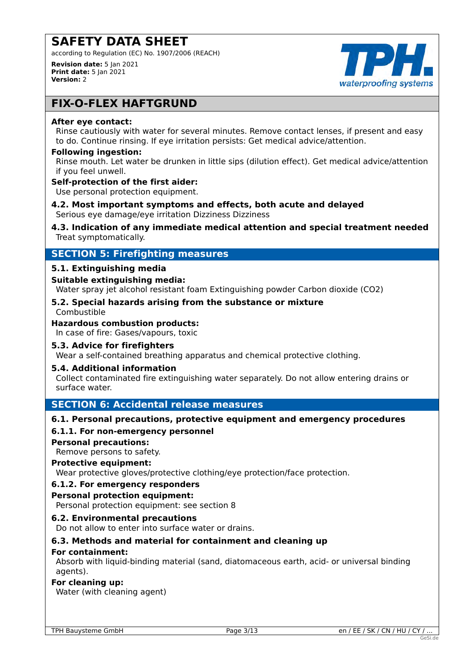according to Regulation (EC) No. 1907/2006 (REACH)

**Revision date:** 5 Jan 2021 **Print date:** 5 Jan 2021 **Version:** 2



# **FIX-O-FLEX HAFTGRUND**

#### **After eye contact:**

Rinse cautiously with water for several minutes. Remove contact lenses, if present and easy to do. Continue rinsing. If eye irritation persists: Get medical advice/attention.

#### **Following ingestion:**

Rinse mouth. Let water be drunken in little sips (dilution effect). Get medical advice/attention if you feel unwell.

#### **Self-protection of the first aider:**

Use personal protection equipment.

**4.2. Most important symptoms and effects, both acute and delayed** Serious eye damage/eye irritation Dizziness Dizziness

### **4.3. Indication of any immediate medical attention and special treatment needed** Treat symptomatically.

# **SECTION 5: Firefighting measures**

# **5.1. Extinguishing media**

# **Suitable extinguishing media:**

Water spray jet alcohol resistant foam Extinguishing powder Carbon dioxide (CO2)

#### **5.2. Special hazards arising from the substance or mixture** Combustible

**Hazardous combustion products:**

In case of fire: Gases/vapours, toxic

# **5.3. Advice for firefighters**

Wear a self-contained breathing apparatus and chemical protective clothing.

# **5.4. Additional information**

Collect contaminated fire extinguishing water separately. Do not allow entering drains or surface water.

# **SECTION 6: Accidental release measures**

# **6.1. Personal precautions, protective equipment and emergency procedures**

# **6.1.1. For non-emergency personnel**

#### **Personal precautions:**

Remove persons to safety.

#### **Protective equipment:**

Wear protective gloves/protective clothing/eye protection/face protection.

# **6.1.2. For emergency responders**

#### **Personal protection equipment:**

Personal protection equipment: see section 8

# **6.2. Environmental precautions**

Do not allow to enter into surface water or drains.

# **6.3. Methods and material for containment and cleaning up**

# **For containment:**

Absorb with liquid-binding material (sand, diatomaceous earth, acid- or universal binding agents).

#### **For cleaning up:**

Water (with cleaning agent)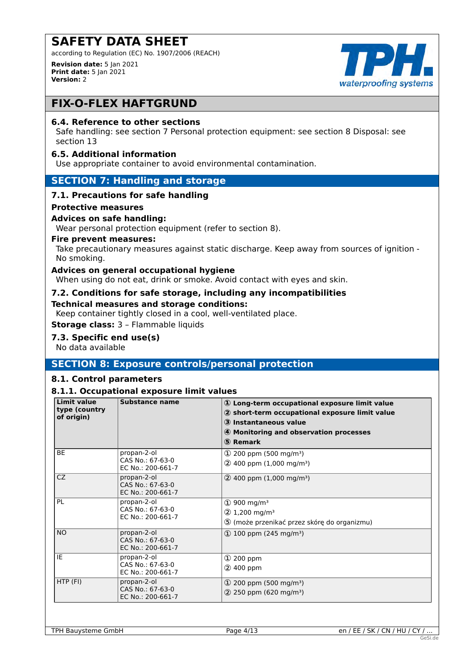according to Regulation (EC) No. 1907/2006 (REACH)

**Revision date:** 5 Jan 2021 **Print date:** 5 Jan 2021 **Version:** 2



# **FIX-O-FLEX HAFTGRUND**

### **6.4. Reference to other sections**

Safe handling: see section 7 Personal protection equipment: see section 8 Disposal: see section 13

#### **6.5. Additional information**

Use appropriate container to avoid environmental contamination.

#### **SECTION 7: Handling and storage**

#### **7.1. Precautions for safe handling**

#### **Protective measures**

#### **Advices on safe handling:**

Wear personal protection equipment (refer to section 8).

#### **Fire prevent measures:**

Take precautionary measures against static discharge. Keep away from sources of ignition - No smoking.

#### **Advices on general occupational hygiene**

When using do not eat, drink or smoke. Avoid contact with eyes and skin.

#### **7.2. Conditions for safe storage, including any incompatibilities**

#### **Technical measures and storage conditions:**

Keep container tightly closed in a cool, well-ventilated place.

**Storage class:** 3 – Flammable liquids

#### **7.3. Specific end use(s)**

No data available

# **SECTION 8: Exposure controls/personal protection**

#### **8.1. Control parameters**

### **8.1.1. Occupational exposure limit values**

| <b>Limit value</b><br>type (country<br>of origin) | <b>Substance name</b>                                | 1 Long-term occupational exposure limit value<br>2 short-term occupational exposure limit value<br>3 Instantaneous value<br>4 Monitoring and observation processes<br>5 Remark |
|---------------------------------------------------|------------------------------------------------------|--------------------------------------------------------------------------------------------------------------------------------------------------------------------------------|
| <b>BE</b>                                         | propan-2-ol<br>CAS No.: 67-63-0<br>EC No.: 200-661-7 | $\Phi$ 200 ppm (500 mg/m <sup>3</sup> )<br>$(2)$ 400 ppm (1,000 mg/m <sup>3</sup> )                                                                                            |
| CZ.                                               | propan-2-ol<br>CAS No.: 67-63-0<br>EC No.: 200-661-7 | $(2)$ 400 ppm (1,000 mg/m <sup>3</sup> )                                                                                                                                       |
| <b>PL</b>                                         | propan-2-ol<br>CAS No.: 67-63-0<br>EC No.: 200-661-7 | $\textcircled{1}$ 900 mg/m <sup>3</sup><br>$(2)$ 1,200 mg/m <sup>3</sup><br>5 (może przenikać przez skórę do organizmu)                                                        |
| <b>NO</b>                                         | propan-2-ol<br>CAS No.: 67-63-0<br>EC No.: 200-661-7 | $\Phi$ 100 ppm (245 mg/m <sup>3</sup> )                                                                                                                                        |
| IE                                                | propan-2-ol<br>CAS No.: 67-63-0<br>EC No.: 200-661-7 | $\Omega$ 200 ppm<br>2 400 ppm                                                                                                                                                  |
| HTP (FI)                                          | propan-2-ol<br>CAS No.: 67-63-0<br>EC No.: 200-661-7 | (1) 200 ppm (500 mg/m <sup>3</sup> )<br>$(2)$ 250 ppm (620 mg/m <sup>3</sup> )                                                                                                 |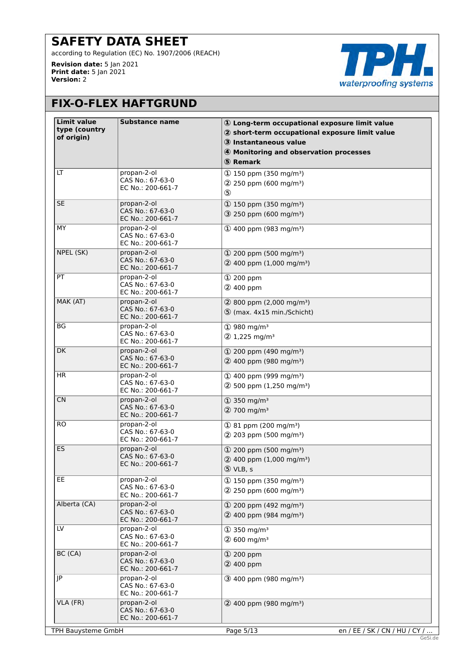according to Regulation (EC) No. 1907/2006 (REACH)

**Revision date:** 5 Jan 2021 **Print date:** 5 Jan 2021 **Version:** 2



# **FIX-O-FLEX HAFTGRUND**

| <b>Limit value</b><br>type (country<br>of origin) | <b>Substance name</b>                                | 10 Long-term occupational exposure limit value<br>2 short-term occupational exposure limit value<br>3 Instantaneous value<br>4 Monitoring and observation processes<br>5 Remark |  |
|---------------------------------------------------|------------------------------------------------------|---------------------------------------------------------------------------------------------------------------------------------------------------------------------------------|--|
| LT                                                | propan-2-ol<br>CAS No.: 67-63-0<br>EC No.: 200-661-7 | $(1)$ 150 ppm (350 mg/m <sup>3</sup> )<br>$(2)$ 250 ppm (600 mg/m <sup>3</sup> )<br>$\circledS$                                                                                 |  |
| <b>SE</b>                                         | propan-2-ol<br>CAS No.: 67-63-0<br>EC No.: 200-661-7 | $(D 150$ ppm (350 mg/m <sup>3</sup> )<br>$(3)$ 250 ppm (600 mg/m <sup>3</sup> )                                                                                                 |  |
| MY                                                | propan-2-ol<br>CAS No.: 67-63-0<br>EC No.: 200-661-7 | $(D$ 400 ppm (983 mg/m <sup>3</sup> )                                                                                                                                           |  |
| NPEL (SK)                                         | propan-2-ol<br>CAS No.: 67-63-0<br>EC No.: 200-661-7 | $(1)$ 200 ppm (500 mg/m <sup>3</sup> )<br>$(2)$ 400 ppm (1,000 mg/m <sup>3</sup> )                                                                                              |  |
| PT                                                | propan-2-ol<br>CAS No.: 67-63-0<br>EC No.: 200-661-7 | ① 200 ppm<br>2 400 ppm                                                                                                                                                          |  |
| MAK (AT)                                          | propan-2-ol<br>CAS No.: 67-63-0<br>EC No.: 200-661-7 | $(2)$ 800 ppm $(2,000 \text{ mg/m}^3)$<br>5 (max. 4x15 min./Schicht)                                                                                                            |  |
| BG                                                | propan-2-ol<br>CAS No.: 67-63-0<br>EC No.: 200-661-7 | $(D)$ 980 mg/m <sup>3</sup><br>$(2)$ 1,225 mg/m <sup>3</sup>                                                                                                                    |  |
| <b>DK</b>                                         | propan-2-ol<br>CAS No.: 67-63-0<br>EC No.: 200-661-7 | $\Phi$ 200 ppm (490 mg/m <sup>3</sup> )<br>$(2)$ 400 ppm (980 mg/m <sup>3</sup> )                                                                                               |  |
| HR.                                               | propan-2-ol<br>CAS No.: 67-63-0<br>EC No.: 200-661-7 | $(1)$ 400 ppm (999 mg/m <sup>3</sup> )<br>$(2)$ 500 ppm (1,250 mg/m <sup>3</sup> )                                                                                              |  |
| <b>CN</b>                                         | propan-2-ol<br>CAS No.: 67-63-0<br>EC No.: 200-661-7 | $\textcircled{1}$ 350 mg/m <sup>3</sup><br>2 700 mg/m <sup>3</sup>                                                                                                              |  |
| <b>RO</b>                                         | propan-2-ol<br>CAS No.: 67-63-0<br>EC No.: 200-661-7 | $(1)$ 81 ppm (200 mg/m <sup>3</sup> )<br>$(2)$ 203 ppm (500 mg/m <sup>3</sup> )                                                                                                 |  |
| ES                                                | propan-2-ol<br>CAS No.: 67-63-0<br>EC No.: 200-661-7 | $(1)$ 200 ppm (500 mg/m <sup>3</sup> )<br>$(2)$ 400 ppm (1,000 mg/m <sup>3</sup> )<br>5 VLB, s                                                                                  |  |
| EE                                                | propan-2-ol<br>CAS No.: 67-63-0<br>EC No.: 200-661-7 | $(1)$ 150 ppm (350 mg/m <sup>3</sup> )<br>$(2)$ 250 ppm (600 mg/m <sup>3</sup> )                                                                                                |  |
| Alberta (CA)                                      | propan-2-ol<br>CAS No.: 67-63-0<br>EC No.: 200-661-7 | $(1)$ 200 ppm (492 mg/m <sup>3</sup> )<br>$(2)$ 400 ppm (984 mg/m <sup>3</sup> )                                                                                                |  |
| LV                                                | propan-2-ol<br>CAS No.: 67-63-0<br>EC No.: 200-661-7 | $\textcircled{1}$ 350 mg/m <sup>3</sup><br>$(2)$ 600 mg/m <sup>3</sup>                                                                                                          |  |
| BC (CA)                                           | propan-2-ol<br>CAS No.: 67-63-0<br>EC No.: 200-661-7 | ① 200 ppm<br>2 400 ppm                                                                                                                                                          |  |
| JP                                                | propan-2-ol<br>CAS No.: 67-63-0<br>EC No.: 200-661-7 | $(3)$ 400 ppm (980 mg/m <sup>3</sup> )                                                                                                                                          |  |
| VLA (FR)                                          | propan-2-ol<br>CAS No.: 67-63-0<br>EC No.: 200-661-7 | $(2)$ 400 ppm (980 mg/m <sup>3</sup> )                                                                                                                                          |  |
| TPH Bauysteme GmbH                                |                                                      | Page 5/13<br>en / EE / SK / CN / HU / CY /                                                                                                                                      |  |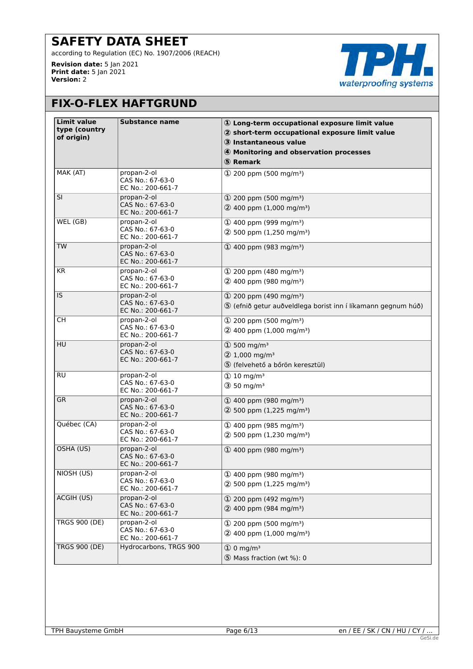according to Regulation (EC) No. 1907/2006 (REACH)

**Revision date:** 5 Jan 2021 **Print date:** 5 Jan 2021 **Version:** 2



# **FIX-O-FLEX HAFTGRUND**

| <b>Limit value</b><br>type (country | Substance name                                       | 10 Long-term occupational exposure limit value<br>2 short-term occupational exposure limit value        |
|-------------------------------------|------------------------------------------------------|---------------------------------------------------------------------------------------------------------|
| of origin)                          |                                                      | 3 Instantaneous value                                                                                   |
|                                     |                                                      | 4 Monitoring and observation processes                                                                  |
|                                     |                                                      | 5 Remark                                                                                                |
| MAK (AT)                            | propan-2-ol<br>CAS No.: 67-63-0<br>EC No.: 200-661-7 | $(D)$ 200 ppm (500 mg/m <sup>3</sup> )                                                                  |
| SI                                  | propan-2-ol<br>CAS No.: 67-63-0<br>EC No.: 200-661-7 | $(1)$ 200 ppm (500 mg/m <sup>3</sup> )<br>$(2)$ 400 ppm (1,000 mg/m <sup>3</sup> )                      |
| WEL (GB)                            | propan-2-ol<br>CAS No.: 67-63-0<br>EC No.: 200-661-7 | $(1)$ 400 ppm (999 mg/m <sup>3</sup> )<br>$(2)$ 500 ppm (1,250 mg/m <sup>3</sup> )                      |
| <b>TW</b>                           | propan-2-ol<br>CAS No.: 67-63-0<br>EC No.: 200-661-7 | $(D$ 400 ppm (983 mg/m <sup>3</sup> )                                                                   |
| <b>KR</b>                           | propan-2-ol<br>CAS No.: 67-63-0<br>EC No.: 200-661-7 | $(1)$ 200 ppm (480 mg/m <sup>3</sup> )<br>2 400 ppm (980 mg/m <sup>3</sup> )                            |
| IS.                                 | propan-2-ol<br>CAS No.: 67-63-0<br>EC No.: 200-661-7 | $(1)$ 200 ppm (490 mg/m <sup>3</sup> )<br>5 (efnið getur auðveldlega borist inn í líkamann gegnum húð)  |
| СH                                  | propan-2-ol<br>CAS No.: 67-63-0<br>EC No.: 200-661-7 | $(1)$ 200 ppm (500 mg/m <sup>3</sup> )<br>$(2)$ 400 ppm (1,000 mg/m <sup>3</sup> )                      |
| <b>HU</b>                           | propan-2-ol<br>CAS No.: 67-63-0<br>EC No.: 200-661-7 | $\textcircled{1}$ 500 mg/m <sup>3</sup><br>2 1,000 mg/m <sup>3</sup><br>5 (felvehető a bőrön keresztül) |
| RU                                  | propan-2-ol<br>CAS No.: 67-63-0<br>EC No.: 200-661-7 | $\textcircled{1}$ 10 mg/m <sup>3</sup><br>$(3)$ 50 mg/m <sup>3</sup>                                    |
| <b>GR</b>                           | propan-2-ol<br>CAS No.: 67-63-0<br>EC No.: 200-661-7 | $(D$ 400 ppm (980 mg/m <sup>3</sup> )<br>$(2)$ 500 ppm (1,225 mg/m <sup>3</sup> )                       |
| Québec (CA)                         | propan-2-ol<br>CAS No.: 67-63-0<br>EC No.: 200-661-7 | $(D$ 400 ppm (985 mg/m <sup>3</sup> )<br>$(2)$ 500 ppm (1,230 mg/m <sup>3</sup> )                       |
| OSHA (US)                           | propan-2-ol<br>CAS No.: 67-63-0<br>EC No.: 200-661-7 | $(1)$ 400 ppm (980 mg/m <sup>3</sup> )                                                                  |
| NIOSH (US)                          | propan-2-ol<br>CAS No.: 67-63-0<br>EC No.: 200-661-7 | 1 400 ppm (980 mg/m <sup>3</sup> )<br>$(2)$ 500 ppm (1,225 mg/m <sup>3</sup> )                          |
| ACGIH (US)                          | propan-2-ol<br>CAS No.: 67-63-0<br>EC No.: 200-661-7 | $(1)$ 200 ppm (492 mg/m <sup>3</sup> )<br>2 400 ppm (984 mg/m <sup>3</sup> )                            |
| <b>TRGS 900 (DE)</b>                | propan-2-ol<br>CAS No.: 67-63-0<br>EC No.: 200-661-7 | $(1)$ 200 ppm (500 mg/m <sup>3</sup> )<br>$(2)$ 400 ppm (1,000 mg/m <sup>3</sup> )                      |
| <b>TRGS 900 (DE)</b>                | Hydrocarbons, TRGS 900                               | $\Phi$ 0 mg/m <sup>3</sup><br>5 Mass fraction (wt %): 0                                                 |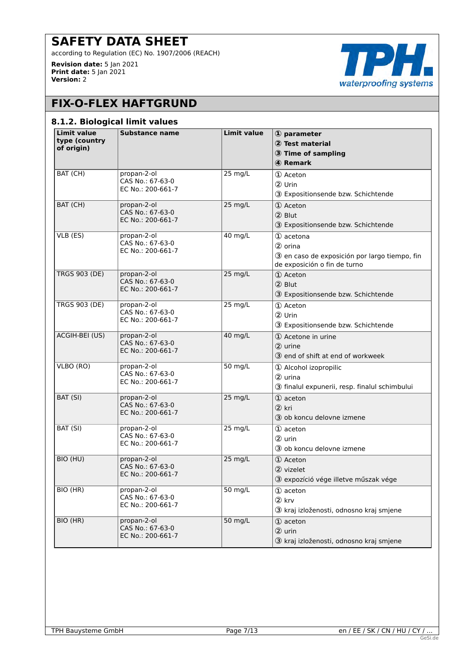according to Regulation (EC) No. 1907/2006 (REACH)

**Revision date:** 5 Jan 2021 **Print date:** 5 Jan 2021 **Version:** 2



# **FIX-O-FLEX HAFTGRUND**

#### **8.1.2. Biological limit values**

| <b>Limit value</b><br>type (country<br>of origin) | <b>Substance name</b>                                | <b>Limit value</b> | 1 parameter<br>2 Test material<br><b>3</b> Time of sampling<br>4 Remark                               |
|---------------------------------------------------|------------------------------------------------------|--------------------|-------------------------------------------------------------------------------------------------------|
| BAT (CH)                                          | propan-2-ol<br>CAS No.: 67-63-0<br>EC No.: 200-661-7 | 25 mg/L            | 1 Aceton<br>2 Urin<br>3 Expositionsende bzw. Schichtende                                              |
| BAT (CH)                                          | propan-2-ol<br>CAS No.: 67-63-0<br>EC No.: 200-661-7 | 25 mg/L            | 1 Aceton<br>2 Blut<br>3 Expositionsende bzw. Schichtende                                              |
| VLB (ES)                                          | propan-2-ol<br>CAS No.: 67-63-0<br>EC No.: 200-661-7 | 40 mg/L            | 1 acetona<br>2 orina<br>3 en caso de exposición por largo tiempo, fin<br>de exposición o fin de turno |
| <b>TRGS 903 (DE)</b>                              | propan-2-ol<br>CAS No.: 67-63-0<br>EC No.: 200-661-7 | $25$ mg/L          | 1 Aceton<br>2 Blut<br>3 Expositionsende bzw. Schichtende                                              |
| <b>TRGS 903 (DE)</b>                              | propan-2-ol<br>CAS No.: 67-63-0<br>EC No.: 200-661-7 | 25 mg/L            | 1 Aceton<br>2 Urin<br>3 Expositionsende bzw. Schichtende                                              |
| ACGIH-BEI (US)                                    | propan-2-ol<br>CAS No.: 67-63-0<br>EC No.: 200-661-7 | 40 mg/L            | 1 Acetone in urine<br>2 urine<br>3 end of shift at end of workweek                                    |
| VLBO (RO)                                         | propan-2-ol<br>CAS No.: 67-63-0<br>EC No.: 200-661-7 | 50 mg/L            | 1 Alcohol izopropilic<br>2 urina<br>3 finalul expunerii, resp. finalul schimbului                     |
| BAT (SI)                                          | propan-2-ol<br>CAS No.: 67-63-0<br>EC No.: 200-661-7 | 25 mg/L            | 1 aceton<br>2 kri<br>3 ob koncu delovne izmene                                                        |
| BAT (SI)                                          | propan-2-ol<br>CAS No.: 67-63-0<br>EC No.: 200-661-7 | 25 mg/L            | 1 aceton<br>2 urin<br>3 ob koncu delovne izmene                                                       |
| BIO (HU)                                          | propan-2-ol<br>CAS No.: 67-63-0<br>EC No.: 200-661-7 | 25 mg/L            | 1 Aceton<br>2 vizelet<br>3 expozíció vége illetve műszak vége                                         |
| BIO (HR)                                          | propan-2-ol<br>CAS No.: 67-63-0<br>EC No.: 200-661-7 | 50 mg/L            | 1 aceton<br>2 krv<br>3 kraj izloženosti, odnosno kraj smjene                                          |
| BIO (HR)                                          | propan-2-ol<br>CAS No.: 67-63-0<br>EC No.: 200-661-7 | 50 mg/L            | 1 aceton<br>2 urin<br>3 kraj izloženosti, odnosno kraj smjene                                         |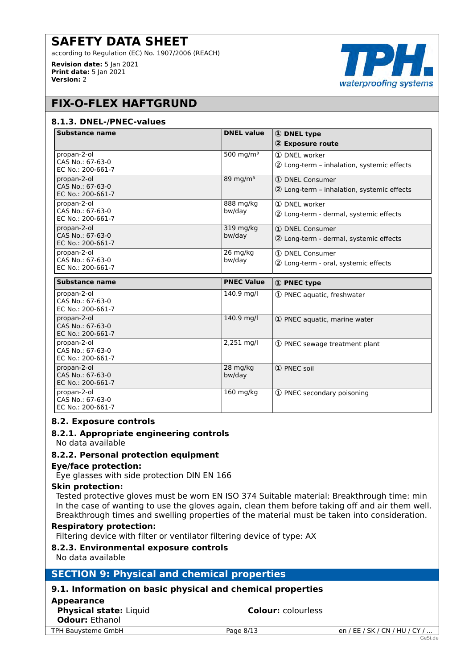according to Regulation (EC) No. 1907/2006 (REACH)

**Revision date:** 5 Jan 2021 **Print date:** 5 Jan 2021 **Version:** 2



# **FIX-O-FLEX HAFTGRUND**

#### **8.1.3. DNEL-/PNEC-values**

| <b>Substance name</b>                 | <b>DNEL value</b>  | <b>1</b> DNEL type                         |
|---------------------------------------|--------------------|--------------------------------------------|
|                                       |                    | 2 Exposure route                           |
| propan-2-ol                           | 500 mg/m $3$       | 1 DNEL worker                              |
| CAS No.: 67-63-0<br>EC No.: 200-661-7 |                    | 2 Long-term - inhalation, systemic effects |
| propan-2-ol                           | 89 mg/m $3$        | 1 DNEL Consumer                            |
| CAS No.: 67-63-0<br>EC No.: 200-661-7 |                    | 2 Long-term - inhalation, systemic effects |
| propan-2-ol                           | 888 mg/kg          | 1 DNEL worker                              |
| CAS No.: 67-63-0<br>EC No.: 200-661-7 | bw/day             | 2 Long-term - dermal, systemic effects     |
| propan-2-ol                           | 319 mg/kg          | 1 DNEL Consumer                            |
| CAS No.: 67-63-0<br>EC No.: 200-661-7 | bw/day             | 2 Long-term - dermal, systemic effects     |
| propan-2-ol                           | 26 mg/kg           | 1 DNEL Consumer                            |
| CAS No.: 67-63-0<br>EC No.: 200-661-7 | bw/day             | 2 Long-term - oral, systemic effects       |
|                                       |                    |                                            |
|                                       |                    |                                            |
| <b>Substance name</b>                 | <b>PNEC Value</b>  | 1 PNEC type                                |
| propan-2-ol                           | 140.9 mg/l         | 1) PNEC aquatic, freshwater                |
| CAS No.: 67-63-0<br>EC No.: 200-661-7 |                    |                                            |
| propan-2-ol                           | 140.9 mg/l         | 1 PNEC aquatic, marine water               |
| CAS No.: 67-63-0                      |                    |                                            |
| EC No.: 200-661-7<br>propan-2-ol      | 2,251 mg/l         |                                            |
| CAS No.: 67-63-0                      |                    | 1 PNEC sewage treatment plant              |
| EC No.: 200-661-7                     |                    |                                            |
| propan-2-ol<br>CAS No.: 67-63-0       | 28 mg/kg<br>bw/day | 1 PNEC soil                                |
| EC No.: 200-661-7                     |                    |                                            |
| propan-2-ol<br>CAS No.: 67-63-0       | 160 mg/kg          | 1) PNEC secondary poisoning                |

#### **8.2. Exposure controls**

#### **8.2.1. Appropriate engineering controls**

No data available

#### **8.2.2. Personal protection equipment**

#### **Eye/face protection:**

Eye glasses with side protection DIN EN 166

#### **Skin protection:**

Tested protective gloves must be worn EN ISO 374 Suitable material: Breakthrough time: min In the case of wanting to use the gloves again, clean them before taking off and air them well. Breakthrough times and swelling properties of the material must be taken into consideration.

### **Respiratory protection:**

Filtering device with filter or ventilator filtering device of type: AX

# **8.2.3. Environmental exposure controls**

No data available

# **SECTION 9: Physical and chemical properties**

# **9.1. Information on basic physical and chemical properties**

#### **Appearance**

| .<br>Physical state: Liquid<br><b>Odour: Ethanol</b> |
|------------------------------------------------------|
| <b>FPH Bauvsteme GmbH</b>                            |

**Colour:** colourless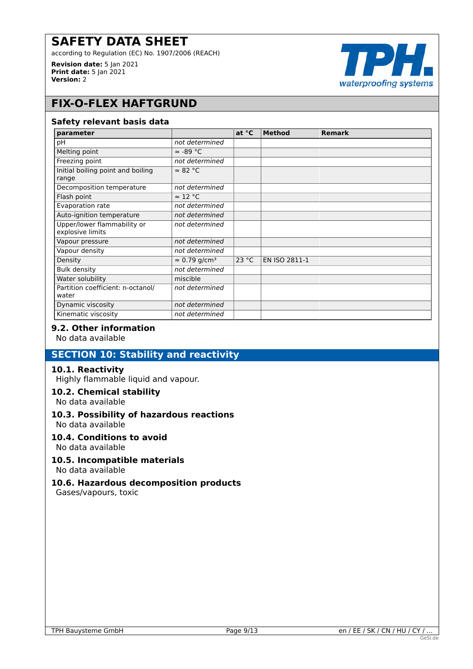according to Regulation (EC) No. 1907/2006 (REACH)

**Revision date:** 5 Jan 2021 **Print date:** 5 Jan 2021 **Version:** 2



# **FIX-O-FLEX HAFTGRUND**

#### **Safety relevant basis data**

| parameter                                       |                                  | at $^{\circ}$ C | <b>Method</b> | <b>Remark</b> |
|-------------------------------------------------|----------------------------------|-----------------|---------------|---------------|
| рH                                              | not determined                   |                 |               |               |
| Melting point                                   | $\approx$ -89 °C                 |                 |               |               |
| Freezing point                                  | not determined                   |                 |               |               |
| Initial boiling point and boiling<br>range      | $\approx 82$ °C                  |                 |               |               |
| Decomposition temperature                       | not determined                   |                 |               |               |
| Flash point                                     | $\approx$ 12 °C                  |                 |               |               |
| Evaporation rate                                | not determined                   |                 |               |               |
| Auto-ignition temperature                       | not determined                   |                 |               |               |
| Upper/lower flammability or<br>explosive limits | not determined                   |                 |               |               |
| Vapour pressure                                 | not determined                   |                 |               |               |
| Vapour density                                  | not determined                   |                 |               |               |
| Density                                         | $\approx 0.79$ g/cm <sup>3</sup> | 23 °C           | EN ISO 2811-1 |               |
| <b>Bulk density</b>                             | not determined                   |                 |               |               |
| Water solubility                                | miscible                         |                 |               |               |
| Partition coefficient: n-octanol/<br>water      | not determined                   |                 |               |               |
| Dynamic viscosity                               | not determined                   |                 |               |               |
| Kinematic viscosity                             | not determined                   |                 |               |               |

# **9.2. Other information**

No data available

# **SECTION 10: Stability and reactivity**

#### **10.1. Reactivity**

Highly flammable liquid and vapour.

#### **10.2. Chemical stability**

No data available

# **10.3. Possibility of hazardous reactions**

No data available

#### **10.4. Conditions to avoid**

No data available

#### **10.5. Incompatible materials** No data available

# **10.6. Hazardous decomposition products**

Gases/vapours, toxic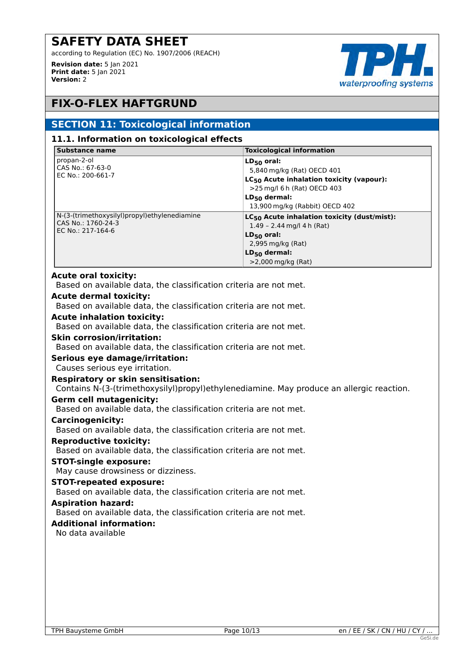according to Regulation (EC) No. 1907/2006 (REACH)

**Revision date:** 5 Jan 2021 **Print date:** 5 Jan 2021 **Version:** 2



# **FIX-O-FLEX HAFTGRUND**

# **SECTION 11: Toxicological information**

#### **11.1. Information on toxicological effects**

| <b>Substance name</b>                                                                   | <b>Toxicological information</b>                                                                                                                                                            |
|-----------------------------------------------------------------------------------------|---------------------------------------------------------------------------------------------------------------------------------------------------------------------------------------------|
| propan-2-ol<br>CAS No.: 67-63-0<br>EC No.: 200-661-7                                    | $LD_{50}$ oral:<br>5,840 mg/kg (Rat) OECD 401<br>LC <sub>50</sub> Acute inhalation toxicity (vapour):<br>>25 mg/l 6 h (Rat) OECD 403<br>$LD_{50}$ dermal:<br>13,900 mg/kg (Rabbit) OECD 402 |
| N-(3-(trimethoxysilyl)propyl)ethylenediamine<br>CAS No.: 1760-24-3<br>EC No.: 217-164-6 | $LC_{50}$ Acute inhalation toxicity (dust/mist):<br>1.49 - 2.44 mg/l 4 h (Rat)<br>$LD_{50}$ oral:<br>2,995 mg/kg (Rat)<br>$LD_{50}$ dermal:<br>$>$ 2,000 mg/kg (Rat)                        |

#### **Acute oral toxicity:**

Based on available data, the classification criteria are not met.

#### **Acute dermal toxicity:**

Based on available data, the classification criteria are not met.

#### **Acute inhalation toxicity:**

Based on available data, the classification criteria are not met.

#### **Skin corrosion/irritation:**

Based on available data, the classification criteria are not met.

#### **Serious eye damage/irritation:**

Causes serious eye irritation.

#### **Respiratory or skin sensitisation:**

Contains N-(3-(trimethoxysilyl)propyl)ethylenediamine. May produce an allergic reaction.

#### **Germ cell mutagenicity:**

Based on available data, the classification criteria are not met.

#### **Carcinogenicity:**

Based on available data, the classification criteria are not met.

# **Reproductive toxicity:**

Based on available data, the classification criteria are not met.

# **STOT-single exposure:**

May cause drowsiness or dizziness.

# **STOT-repeated exposure:**

Based on available data, the classification criteria are not met.

# **Aspiration hazard:**

Based on available data, the classification criteria are not met.

# **Additional information:**

No data available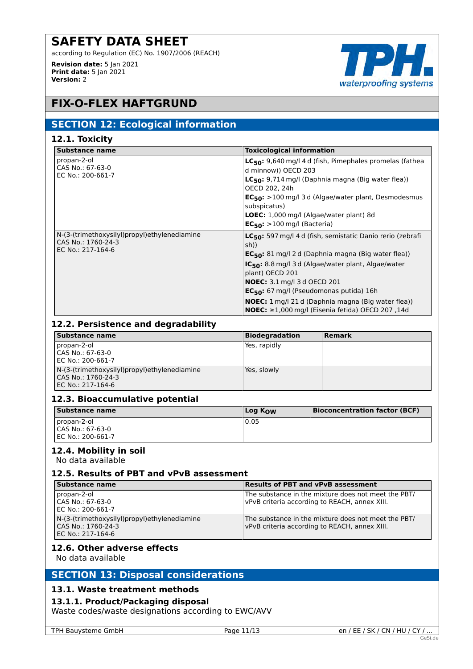according to Regulation (EC) No. 1907/2006 (REACH)

**Revision date:** 5 Jan 2021 **Print date:** 5 Jan 2021 **Version:** 2



# **FIX-O-FLEX HAFTGRUND**

# **SECTION 12: Ecological information**

| Substance name                                                                          | <b>Toxicological information</b>                                                                                                                                                                                                                                                                                                                                                                                                                    |
|-----------------------------------------------------------------------------------------|-----------------------------------------------------------------------------------------------------------------------------------------------------------------------------------------------------------------------------------------------------------------------------------------------------------------------------------------------------------------------------------------------------------------------------------------------------|
| propan-2-ol<br>CAS No.: 67-63-0<br>EC No.: 200-661-7                                    | LC <sub>50</sub> : 9,640 mg/l 4 d (fish, Pimephales promelas (fathea<br>d minnow)) OECD 203<br>$LC_{50}$ : 9,714 mg/l (Daphnia magna (Big water flea))<br>OECD 202, 24h<br>$EC_{50}$ : >100 mg/l 3 d (Algae/water plant, Desmodesmus<br>subspicatus)<br><b>LOEC:</b> 1,000 mg/l (Algae/water plant) 8d<br>$EC_{50}$ : >100 mg/l (Bacteria)                                                                                                          |
| N-(3-(trimethoxysilyl)propyl)ethylenediamine<br>CAS No.: 1760-24-3<br>EC No.: 217-164-6 | LC <sub>50</sub> : 597 mg/l 4 d (fish, semistatic Danio rerio (zebrafi<br>sh))<br>$EC_{50}$ : 81 mg/l 2 d (Daphnia magna (Big water flea))<br>IC <sub>50</sub> : 8.8 mg/l 3 d (Algae/water plant, Algae/water<br>plant) OECD 201<br><b>NOEC:</b> 3.1 mg/l 3 d OECD 201<br>$EC_{50}$ : 67 mg/l (Pseudomonas putida) 16h<br><b>NOEC:</b> 1 mg/l 21 d (Daphnia magna (Big water flea))<br><b>NOEC:</b> $\geq$ 1,000 mg/l (Eisenia fetida) OECD 207,14d |

# **12.2. Persistence and degradability**

| <b>Substance name</b>                        | <b>Biodegradation</b> | Remark |
|----------------------------------------------|-----------------------|--------|
| propan-2-ol                                  | Yes, rapidly          |        |
| CAS No.: 67-63-0                             |                       |        |
| EC No.: 200-661-7                            |                       |        |
| N-(3-(trimethoxysilyl)propyl)ethylenediamine | Yes, slowly           |        |
| l CAS No.: 1760-24-3                         |                       |        |
| l EC No.: 217-164-6                          |                       |        |

# **12.3. Bioaccumulative potential**

| Substance name                   | Log K <sub>ow</sub> | <b>Bioconcentration factor (BCF)</b> |
|----------------------------------|---------------------|--------------------------------------|
| propan-2-ol<br>LCAS No.: 67-63-0 | 0.05                |                                      |
| EC No.: 200-661-7                |                     |                                      |

# **12.4. Mobility in soil**

No data available

#### **12.5. Results of PBT and vPvB assessment**

| Substance name                                                                            | <b>Results of PBT and vPvB assessment</b>                                                            |
|-------------------------------------------------------------------------------------------|------------------------------------------------------------------------------------------------------|
| propan-2-ol<br>l CAS No.: 67-63-0<br>EC No.: 200-661-7                                    | The substance in the mixture does not meet the PBT/<br>vPvB criteria according to REACH, annex XIII. |
| N-(3-(trimethoxysilyl)propyl)ethylenediamine<br>CAS No.: 1760-24-3<br>l EC No.: 217-164-6 | The substance in the mixture does not meet the PBT/<br>vPvB criteria according to REACH, annex XIII. |

#### **12.6. Other adverse effects**

No data available

# **SECTION 13: Disposal considerations**

#### **13.1. Waste treatment methods**

# **13.1.1. Product/Packaging disposal**

Waste codes/waste designations according to EWC/AVV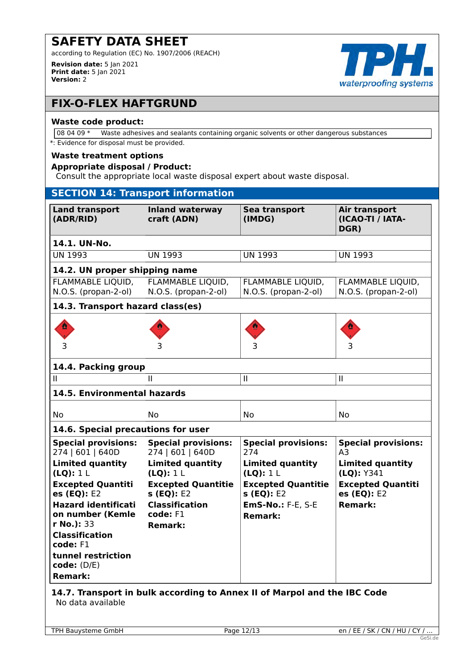according to Regulation (EC) No. 1907/2006 (REACH)

**Revision date:** 5 Jan 2021 **Print date:** 5 Jan 2021 **Version:** 2



# **FIX-O-FLEX HAFTGRUND**

#### **Waste code product:**

08 04 09 \* Waste adhesives and sealants containing organic solvents or other dangerous substances

\*: Evidence for disposal must be provided.

#### **Waste treatment options**

#### **Appropriate disposal / Product:**

Consult the appropriate local waste disposal expert about waste disposal.

| <b>SECTION 14: Transport information</b>       |                                                |                                             |                                           |
|------------------------------------------------|------------------------------------------------|---------------------------------------------|-------------------------------------------|
| <b>Land transport</b><br>(ADR/RID)             | <b>Inland waterway</b><br>craft (ADN)          | Sea transport<br>(IMDG)                     | Air transport<br>(ICAO-TI / IATA-<br>DGR) |
| 14.1. UN-No.                                   |                                                |                                             |                                           |
| <b>UN 1993</b>                                 | <b>UN 1993</b>                                 | <b>UN 1993</b>                              | <b>UN 1993</b>                            |
| 14.2. UN proper shipping name                  |                                                |                                             |                                           |
| FLAMMABLE LIQUID,                              | FLAMMABLE LIQUID,                              | FLAMMABLE LIQUID,<br>N.O.S. (propan-2-ol)   | FLAMMABLE LIQUID,<br>N.O.S. (propan-2-ol) |
| N.O.S. (propan-2-ol)                           | N.O.S. (propan-2-ol)                           |                                             |                                           |
| 14.3. Transport hazard class(es)               |                                                |                                             |                                           |
|                                                |                                                |                                             |                                           |
| 3                                              | 3                                              | 3                                           | 3                                         |
| 14.4. Packing group                            |                                                |                                             |                                           |
| Ш                                              | Ш                                              | $\mathbf{II}$                               | $\mathbf{II}$                             |
| 14.5. Environmental hazards                    |                                                |                                             |                                           |
| No                                             | No                                             | <b>No</b>                                   | No                                        |
| 14.6. Special precautions for user             |                                                |                                             |                                           |
| <b>Special provisions:</b><br>274   601   640D | <b>Special provisions:</b><br>274   601   640D | <b>Special provisions:</b><br>274           | <b>Special provisions:</b><br>A3          |
| <b>Limited quantity</b><br>(LQ): 1 L           | <b>Limited quantity</b><br>(LQ): 1 L           | <b>Limited quantity</b><br>(LQ): 1 L        | <b>Limited quantity</b><br>(LQ): Y341     |
| <b>Excepted Quantiti</b><br>es (EQ): E2        | <b>Excepted Quantitie</b><br>s (EQ): E2        | <b>Excepted Quantitie</b><br>$S$ (EQ): $E2$ | <b>Excepted Quantiti</b><br>es (EQ): E2   |
| <b>Hazard identificati</b><br>on number (Kemle | <b>Classification</b><br>$code: F1$            | <b>EmS-No.: F-E, S-E</b><br><b>Remark:</b>  | <b>Remark:</b>                            |
| r No.): 33<br><b>Classification</b>            | <b>Remark:</b>                                 |                                             |                                           |
| code: F1                                       |                                                |                                             |                                           |
| tunnel restriction<br>code: (D/E)              |                                                |                                             |                                           |
| <b>Remark:</b>                                 |                                                |                                             |                                           |

# **14.7. Transport in bulk according to Annex II of Marpol and the IBC Code** No data available